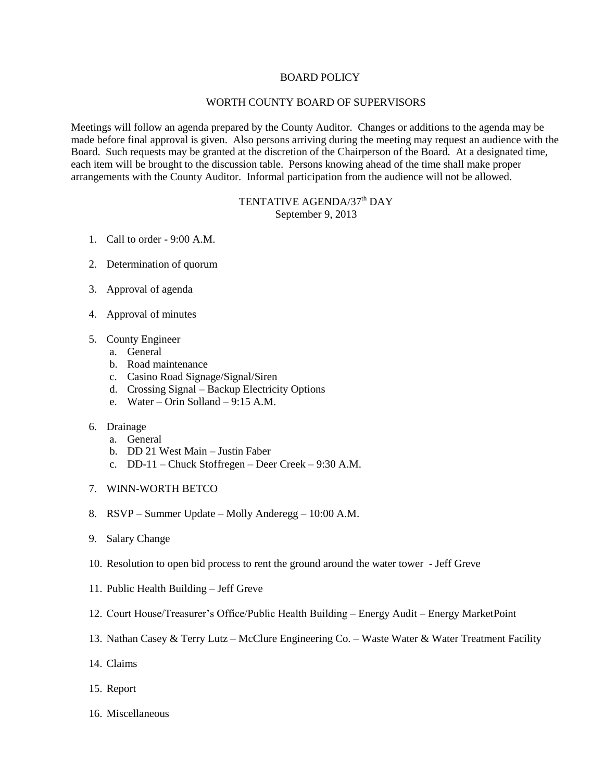## BOARD POLICY

## WORTH COUNTY BOARD OF SUPERVISORS

Meetings will follow an agenda prepared by the County Auditor. Changes or additions to the agenda may be made before final approval is given. Also persons arriving during the meeting may request an audience with the Board. Such requests may be granted at the discretion of the Chairperson of the Board. At a designated time, each item will be brought to the discussion table. Persons knowing ahead of the time shall make proper arrangements with the County Auditor. Informal participation from the audience will not be allowed.

## TENTATIVE AGENDA/37<sup>th</sup> DAY September 9, 2013

- 1. Call to order 9:00 A.M.
- 2. Determination of quorum
- 3. Approval of agenda
- 4. Approval of minutes
- 5. County Engineer
	- a. General
	- b. Road maintenance
	- c. Casino Road Signage/Signal/Siren
	- d. Crossing Signal Backup Electricity Options
	- e. Water Orin Solland 9:15 A.M.
- 6. Drainage
	- a. General
	- b. DD 21 West Main Justin Faber
	- c. DD-11 Chuck Stoffregen Deer Creek 9:30 A.M.
- 7. WINN-WORTH BETCO
- 8. RSVP Summer Update Molly Anderegg 10:00 A.M.
- 9. Salary Change
- 10. Resolution to open bid process to rent the ground around the water tower Jeff Greve
- 11. Public Health Building Jeff Greve
- 12. Court House/Treasurer's Office/Public Health Building Energy Audit Energy MarketPoint
- 13. Nathan Casey & Terry Lutz McClure Engineering Co. Waste Water & Water Treatment Facility
- 14. Claims
- 15. Report
- 16. Miscellaneous